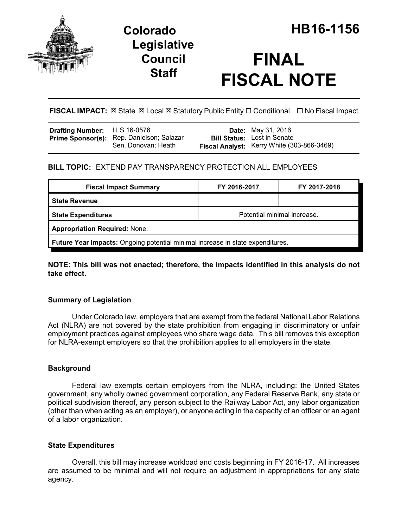

## **Legislative Council Staff**

# **FINAL FISCAL NOTE**

FISCAL IMPACT:  $\boxtimes$  State  $\boxtimes$  Local  $\boxtimes$  Statutory Public Entity  $\Box$  Conditional  $\Box$  No Fiscal Impact

| Drafting Number: LLS 16-0576 |                                                                  | <b>Date:</b> May 31, 2016                                                        |
|------------------------------|------------------------------------------------------------------|----------------------------------------------------------------------------------|
|                              | Prime Sponsor(s): Rep. Danielson; Salazar<br>Sen. Donovan; Heath | <b>Bill Status:</b> Lost in Senate<br>Fiscal Analyst: Kerry White (303-866-3469) |

## **BILL TOPIC:** EXTEND PAY TRANSPARENCY PROTECTION ALL EMPLOYEES

| <b>Fiscal Impact Summary</b>                                                   | FY 2016-2017                | FY 2017-2018 |  |  |
|--------------------------------------------------------------------------------|-----------------------------|--------------|--|--|
| State Revenue                                                                  |                             |              |  |  |
| State Expenditures                                                             | Potential minimal increase. |              |  |  |
| <b>Appropriation Required: None.</b>                                           |                             |              |  |  |
| Future Year Impacts: Ongoing potential minimal increase in state expenditures. |                             |              |  |  |

**NOTE: This bill was not enacted; therefore, the impacts identified in this analysis do not take effect.**

### **Summary of Legislation**

Under Colorado law, employers that are exempt from the federal National Labor Relations Act (NLRA) are not covered by the state prohibition from engaging in discriminatory or unfair employment practices against employees who share wage data. This bill removes this exception for NLRA-exempt employers so that the prohibition applies to all employers in the state.

#### **Background**

Federal law exempts certain employers from the NLRA, including: the United States government, any wholly owned government corporation, any Federal Reserve Bank, any state or political subdivision thereof, any person subject to the Railway Labor Act, any labor organization (other than when acting as an employer), or anyone acting in the capacity of an officer or an agent of a labor organization.

#### **State Expenditures**

Overall, this bill may increase workload and costs beginning in FY 2016-17. All increases are assumed to be minimal and will not require an adjustment in appropriations for any state agency.